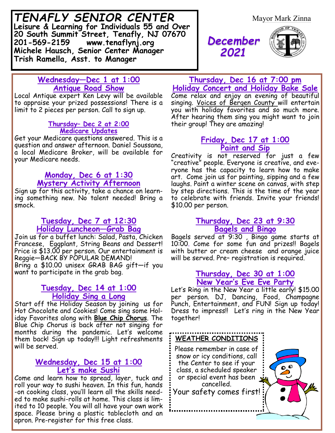*TENAFLY SENIOR CENTER* **Leisure & Learning for Individuals 55 and Over 20 South Summit Street, Tenafly, NJ 07670 201-569-2159 www.tenaflynj.org Michele Hausch, Senior Center Manager Trish Ramella, Asst. to Manager**

Mayor Mark Zinna

*December 2021*



# **Wednesday—Dec 1 at 1:00 Antique Road Show**

Local Antique expert Ken Levy will be available to appraise your prized possessions! There is a limit to 2 pieces per person. Call to sign up.

#### **Thursday– Dec 2 at 2:00 Medicare Updates**

Get your Medicare questions answered. This is a question and answer afternoon. Daniel Soussana, a local Medicare Broker, will be available for your Medicare needs.

# **Monday, Dec 6 at 1:30 Mystery Activity Afternoon**

Sign up for this activity, take a chance on learning something new. No talent needed! Bring a smock.

#### **Tuesday, Dec 7 at 12:30 Holiday Luncheon—Grab Bag**

Join us for a buffet lunch: Salad, Pasta, Chicken Francese, Eggplant, String Beans and Dessert! Price is \$13.00 per person. Our entertainment is Reggie—BACK BY POPULAR DEMAND! Bring a \$10.00 unisex GRAB BAG gift—if you want to participate in the grab bag.

# **Tuesday, Dec 14 at 1:00 Holiday Sing a Long**

Start off the Holiday Season by joining us for Hot Chocolate and Cookies! Come sing some Holiday Favorites along with **Blue Chip Chorus**. The Blue Chip Chorus is back after not singing for months during the pandemic. Let's welcome them back! Sign up today!!! Light refreshments will be served.

### **Wednesday, Dec 15 at 1:00 Let's make Sushi**

Come and learn how to spread, layer, tuck and roll your way to sushi heaven. In this fun, hands -on cooking class, you'll learn all the skills needed to make sushi-rolls at home. This class is limited to 10 people. You will all have your own work space. Please bring a plastic tablecloth and an apron. Pre-register for this free class.

### **Thursday, Dec 16 at 7:00 pm Holiday Concert and Holiday Bake Sale**

Come relax and enjoy an evening of beautiful singing. Voices of Bergen County will entertain you with holiday favorites and so much more. After hearing them sing you might want to join their group! They are amazing!

# **Friday, Dec 17 at 1:00 Paint and Sip**

Creativity is not reserved for just a few "creative" people. Everyone is creative, and everyone has the capacity to learn how to make art. Come join us for painting, sipping and a few laughs. Paint a winter scene on canvas, with step by step directions. This is the time of the year to celebrate with friends. Invite your friends! \$10.00 per person.

# **Thursday, Dec 23 at 9:30 Bagels and Bingo**

Bagels served at 9:30 , Bingo game starts at 10:00. Come for some fun and prizes!! Bagels with butter or cream cheese and orange juice will be served. Pre– registration is required.

### **Thursday, Dec 30 at 1:00 New Year's Eve Eve Party**

Let's Ring in the New Year a little early! \$15.00 per person. DJ, Dancing, Food, Champagne Punch, Entertainment, and FUN! Sign up today! Dress to impress!! Let's ring in the New Year together!

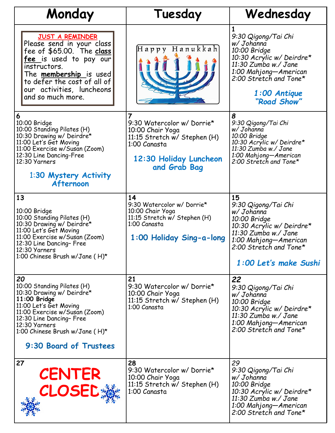| Monday                                                                                                                                                                                                                                              | Tuesday                                                                                                                                                    | Wednesday                                                                                                                                                                                     |
|-----------------------------------------------------------------------------------------------------------------------------------------------------------------------------------------------------------------------------------------------------|------------------------------------------------------------------------------------------------------------------------------------------------------------|-----------------------------------------------------------------------------------------------------------------------------------------------------------------------------------------------|
| <b>JUST A REMINDER</b><br>Please send in your class<br>fee of \$65.00. The class<br><u>fee is used to pay our</u><br>instructors.<br>The <b>membership</b> is used<br>to defer the cost of all of<br>our activities, luncheons<br>and so much more. | Happy Hanukkah                                                                                                                                             | 1<br>9:30 Qigong/Tai Chi<br>w/ Johanna<br>10:00 Bridge<br>10:30 Acrylic w/ Deirdre*<br>11:30 Zumba w./ Jane<br>1:00 Mahjong-American<br>2:00 Stretch and Tone*<br>1:00 Antique<br>"Road Show" |
| 6<br>10:00 Bridge<br>10:00 Standing Pilates (H)<br>10:30 Drawing w/ Deirdre*<br>11:00 Let's Get Moving<br>11:00 Exercise w/Susan (Zoom)<br>12:30 Line Dancing-Free<br>12:30 Yarners<br>1:30 Mystery Activity<br>Afternoon                           | $\overline{7}$<br>9:30 Watercolor w/ Dorrie*<br>10:00 Chair Yoga<br>11:15 Stretch w/ Stephen (H)<br>1:00 Canasta<br>12:30 Holiday Luncheon<br>and Grab Bag | 8<br>9:30 Qigong/Tai Chi<br>w/ Johanna<br>10:00 Bridge<br>10:30 Acrylic w/ Deirdre*<br>11:30 Zumba w./ Jane<br>1:00 Mahjong-American<br>2:00 Stretch and Tone*                                |
| 13<br>10:00 Bridge<br>10:00 Standing Pilates (H)<br>10:30 Drawing w/ Deirdre*<br>11:00 Let's Get Moving<br>11:00 Exercise w/Susan (Zoom)<br>12:30 Line Dancing- Free<br>12:30 Yarners<br>1:00 Chinese Brush w/Jane (H)*                             | 14<br>9:30 Watercolor w/ Dorrie*<br>10:00 Chair Yoga<br>11:15 Stretch w/ Stephen (H)<br>1:00 Canasta<br>1:00 Holiday Sing-a-long                           | 15<br>9:30 Qigong/Tai Chi<br>w/ Johanna<br>10:00 Bridge<br>10:30 Acrylic w/ Deirdre*<br>11:30 Zumba w./ Jane<br>1:00 Mahjong—American<br>2:00 Stretch and Tone*<br>1:00 Let's make Sushi      |
| 20<br>10:00 Standing Pilates (H)<br>10:30 Drawing w/ Deirdre*<br>11:00 Bridge<br>11:00 Let's Get Moving<br>11:00 Exercise w/Susan (Zoom)<br>12:30 Line Dancing- Free<br>12:30 Yarners<br>1:00 Chinese Brush w/Jane (H)*<br>9:30 Board of Trustees   | 21<br>9:30 Watercolor w/ Dorrie*<br>10:00 Chair Yoga<br>11:15 Stretch w/ Stephen (H)<br>1:00 Canasta                                                       | 22<br>9:30 Qigong/Tai Chi<br>w/ Johanna<br>10:00 Bridge<br>10:30 Acrylic w/ Deirdre*<br>11:30 Zumba w./ Jane<br>1:00 Mahjong-American<br>2:00 Stretch and Tone*                               |
| 27<br><b>CENTER</b><br><b>CLOSED:</b>                                                                                                                                                                                                               | 28<br>9:30 Watercolor w/ Dorrie*<br>10:00 Chair Yoga<br>11:15 Stretch w/ Stephen (H)<br>1:00 Canasta                                                       | 29<br>9:30 Qigong/Tai Chi<br>w/ Johanna<br>10:00 Bridge<br>10:30 Acrylic w/ Deirdre*<br>11:30 Zumba w./ Jane<br>1:00 Mahjong-American<br>2:00 Stretch and Tone*                               |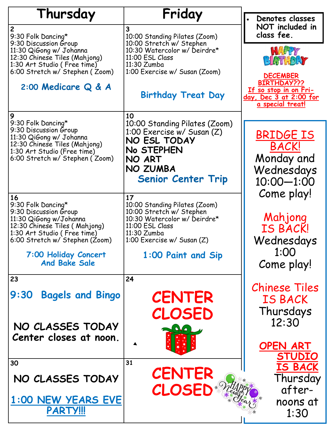| Thursday                                                      | Friday                                                   |                                                   |
|---------------------------------------------------------------|----------------------------------------------------------|---------------------------------------------------|
|                                                               | 3                                                        | Denotes classes<br>NOT included in                |
| 2<br>9:30 Folk Dancing*                                       | 10:00 Standing Pilates (Zoom)                            | class fee.                                        |
| 9:30 Discussion Group                                         | 10:00 Stretch w/ Stephen<br>10:30 Watercolor w/ Deirdre* |                                                   |
| 11:30 QiGong w/ Johanna<br>12:30 Chinese Tiles (Mahjong)      | 11:00 ESL Class                                          | HAPPY<br>BIGTHDAY                                 |
| 1:30 Art Studio (Free time)<br>6:00 Stretch w/ Stephen (Zoom) | 11:30 Zumba<br>1:00 Exercise w/ Susan (Zoom)             |                                                   |
|                                                               |                                                          | <b>DECEMBER</b><br><b>BIRTHDAY???</b>             |
| 2:00 Medicare Q & A                                           | <b>Birthday Treat Day</b>                                | If so stop in on Fri-                             |
|                                                               |                                                          | <u>day, Dec 3 at 2:00 for</u><br>a special treat! |
| 9                                                             | 10                                                       |                                                   |
| 9:30 Folk Dancing*                                            | 10:00 Standing Pilates (Zoom)                            |                                                   |
| 9:30 Discussion Group<br>11:30 QiGong w/ Johanna              | 1:00 Exercise w/ Susan (Z)                               | <b>BRIDGE IS</b>                                  |
| 12:30 Chinese Tiles (Mahjong)<br>1:30 Art Studio (Free time)  | NO ESL TODAY<br>No STEPHEN                               | <b>BACK!</b>                                      |
| 6:00 Stretch w/ Stephen (Zoom)                                | NO ART                                                   | Monday and                                        |
|                                                               | NO ZUMBA                                                 | Wednesdays                                        |
|                                                               | <b>Senior Center Trip</b>                                | $10:00 - 1:00$                                    |
| 16                                                            | 17                                                       | Come play!                                        |
| 9:30 Folk Dancing*                                            | 10:00 Standing Pilates (Zoom)                            |                                                   |
| 9:30 Discussion Group<br>11:30 QiGong w/Johanna               | 10:00 Stretch w/ Stephen<br>10:30 Watercolor w/ Deirdre* | Mahjong                                           |
| 12:30 Chinese Tiles (Mahjong)                                 | 11:00 ESL Class                                          | <b>IS BACK!</b>                                   |
| 1:30 Art Studio (Free time)<br>6:00 Stretch w/ Stephen (Zoom) | 11:30 Zumba<br>1:00 Exercise w/ Susan (Z)                | Wednesdays                                        |
|                                                               |                                                          | 1:00                                              |
| 7:00 Holiday Concert<br><b>And Bake Sale</b>                  | 1:00 Paint and Sip                                       | Come play!                                        |
|                                                               |                                                          |                                                   |
| 23                                                            | 24                                                       | <b>Chinese Tiles</b>                              |
| 9:30<br><b>Bagels and Bingo</b>                               | <b>CENTER</b>                                            | <b>IS BACK</b>                                    |
|                                                               |                                                          | Thursdays                                         |
|                                                               | CLOSED                                                   | 12:30                                             |
| NO CLASSES TODAY                                              | <b>OVA</b>                                               |                                                   |
| Center closes at noon.                                        |                                                          | <b>OPEN ART</b>                                   |
|                                                               |                                                          | <b>STUDIO</b>                                     |
| 30                                                            | 31                                                       | <b>IS BACK</b>                                    |
| NO CLASSES TODAY                                              | <b>CENTER</b>                                            | Thursday                                          |
|                                                               | CLOSED*                                                  | after-                                            |
| 1:00 NEW YEARS EVE                                            |                                                          | noons at                                          |
| <b>PARTY!!!</b>                                               |                                                          | 1:30                                              |
|                                                               |                                                          |                                                   |